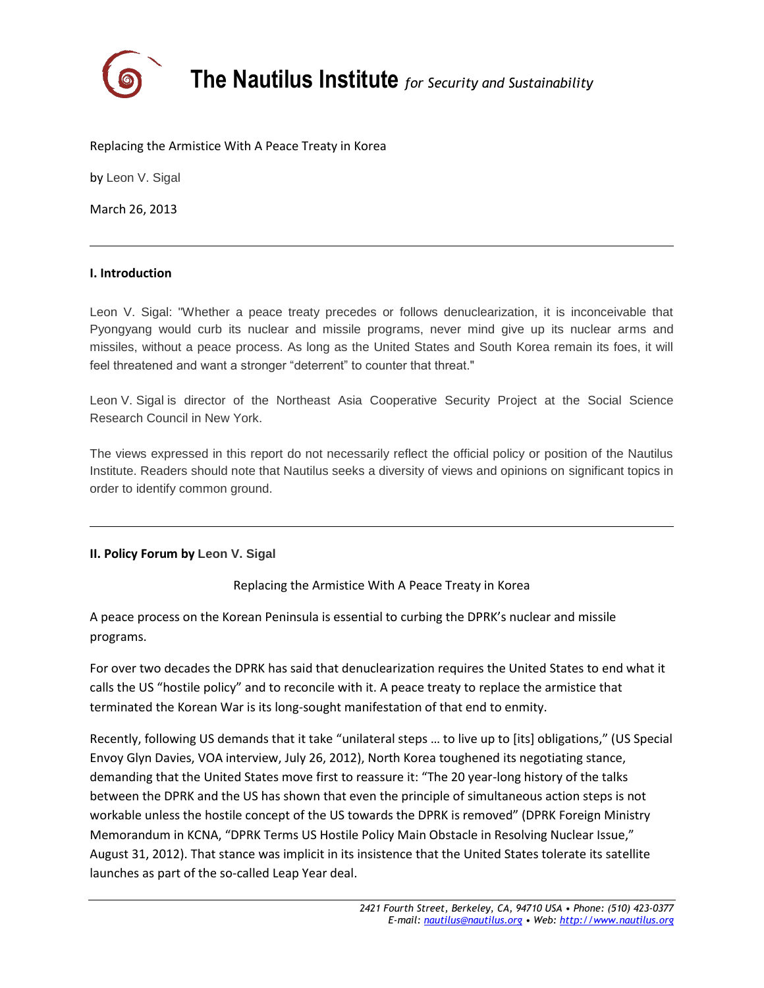

**The Nautilus Institute** *for Security and Sustainability*

## Replacing the Armistice With A Peace Treaty in Korea

by Leon V. Sigal

March 26, 2013

## **I. Introduction**

Leon V. Sigal: "Whether a peace treaty precedes or follows denuclearization, it is inconceivable that Pyongyang would curb its nuclear and missile programs, never mind give up its nuclear arms and missiles, without a peace process. As long as the United States and South Korea remain its foes, it will feel threatened and want a stronger "deterrent" to counter that threat."

Leon V. Sigal is director of the Northeast Asia Cooperative Security Project at the Social Science Research Council in New York.

The views expressed in this report do not necessarily reflect the official policy or position of the Nautilus Institute. Readers should note that Nautilus seeks a diversity of views and opinions on significant topics in order to identify common ground.

## **II. Policy Forum by Leon V. Sigal**

Replacing the Armistice With A Peace Treaty in Korea

A peace process on the Korean Peninsula is essential to curbing the DPRK's nuclear and missile programs.

For over two decades the DPRK has said that denuclearization requires the United States to end what it calls the US "hostile policy" and to reconcile with it. A peace treaty to replace the armistice that terminated the Korean War is its long-sought manifestation of that end to enmity.

Recently, following US demands that it take "unilateral steps … to live up to [its] obligations," (US Special Envoy Glyn Davies, VOA interview, July 26, 2012), North Korea toughened its negotiating stance, demanding that the United States move first to reassure it: "The 20 year-long history of the talks between the DPRK and the US has shown that even the principle of simultaneous action steps is not workable unless the hostile concept of the US towards the DPRK is removed" (DPRK Foreign Ministry Memorandum in KCNA, "DPRK Terms US Hostile Policy Main Obstacle in Resolving Nuclear Issue," August 31, 2012). That stance was implicit in its insistence that the United States tolerate its satellite launches as part of the so-called Leap Year deal.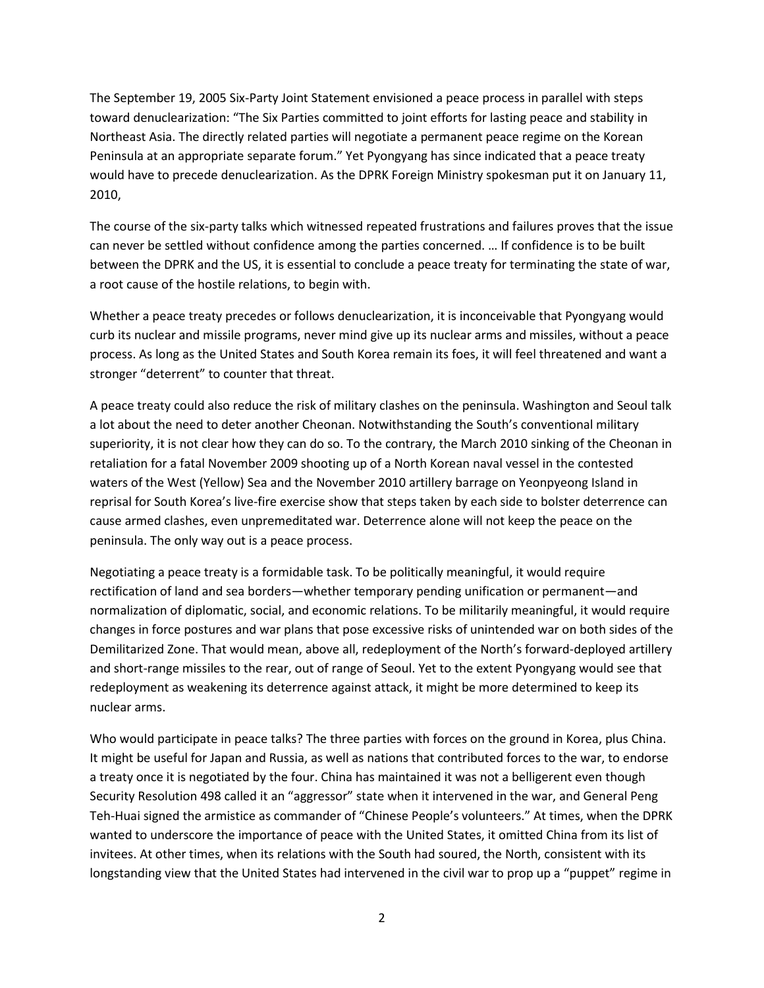The September 19, 2005 Six-Party Joint Statement envisioned a peace process in parallel with steps toward denuclearization: "The Six Parties committed to joint efforts for lasting peace and stability in Northeast Asia. The directly related parties will negotiate a permanent peace regime on the Korean Peninsula at an appropriate separate forum." Yet Pyongyang has since indicated that a peace treaty would have to precede denuclearization. As the DPRK Foreign Ministry spokesman put it on January 11, 2010,

The course of the six-party talks which witnessed repeated frustrations and failures proves that the issue can never be settled without confidence among the parties concerned. … If confidence is to be built between the DPRK and the US, it is essential to conclude a peace treaty for terminating the state of war, a root cause of the hostile relations, to begin with.

Whether a peace treaty precedes or follows denuclearization, it is inconceivable that Pyongyang would curb its nuclear and missile programs, never mind give up its nuclear arms and missiles, without a peace process. As long as the United States and South Korea remain its foes, it will feel threatened and want a stronger "deterrent" to counter that threat.

A peace treaty could also reduce the risk of military clashes on the peninsula. Washington and Seoul talk a lot about the need to deter another Cheonan. Notwithstanding the South's conventional military superiority, it is not clear how they can do so. To the contrary, the March 2010 sinking of the Cheonan in retaliation for a fatal November 2009 shooting up of a North Korean naval vessel in the contested waters of the West (Yellow) Sea and the November 2010 artillery barrage on Yeonpyeong Island in reprisal for South Korea's live-fire exercise show that steps taken by each side to bolster deterrence can cause armed clashes, even unpremeditated war. Deterrence alone will not keep the peace on the peninsula. The only way out is a peace process.

Negotiating a peace treaty is a formidable task. To be politically meaningful, it would require rectification of land and sea borders—whether temporary pending unification or permanent—and normalization of diplomatic, social, and economic relations. To be militarily meaningful, it would require changes in force postures and war plans that pose excessive risks of unintended war on both sides of the Demilitarized Zone. That would mean, above all, redeployment of the North's forward-deployed artillery and short-range missiles to the rear, out of range of Seoul. Yet to the extent Pyongyang would see that redeployment as weakening its deterrence against attack, it might be more determined to keep its nuclear arms.

Who would participate in peace talks? The three parties with forces on the ground in Korea, plus China. It might be useful for Japan and Russia, as well as nations that contributed forces to the war, to endorse a treaty once it is negotiated by the four. China has maintained it was not a belligerent even though Security Resolution 498 called it an "aggressor" state when it intervened in the war, and General Peng Teh-Huai signed the armistice as commander of "Chinese People's volunteers." At times, when the DPRK wanted to underscore the importance of peace with the United States, it omitted China from its list of invitees. At other times, when its relations with the South had soured, the North, consistent with its longstanding view that the United States had intervened in the civil war to prop up a "puppet" regime in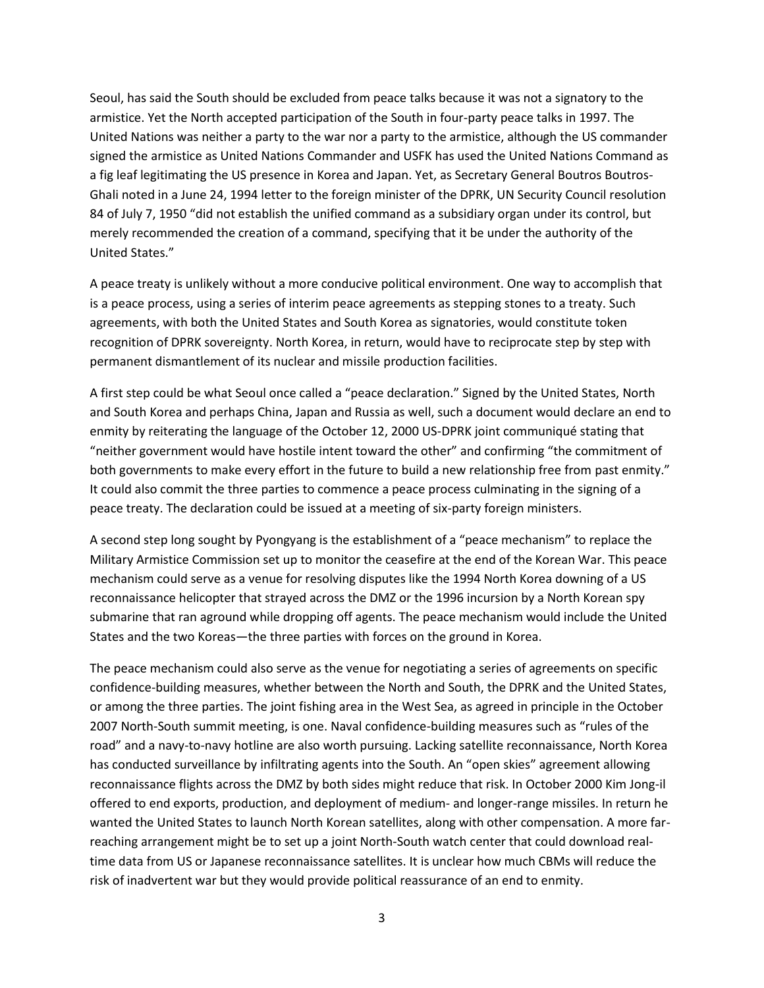Seoul, has said the South should be excluded from peace talks because it was not a signatory to the armistice. Yet the North accepted participation of the South in four-party peace talks in 1997. The United Nations was neither a party to the war nor a party to the armistice, although the US commander signed the armistice as United Nations Commander and USFK has used the United Nations Command as a fig leaf legitimating the US presence in Korea and Japan. Yet, as Secretary General Boutros Boutros-Ghali noted in a June 24, 1994 letter to the foreign minister of the DPRK, UN Security Council resolution 84 of July 7, 1950 "did not establish the unified command as a subsidiary organ under its control, but merely recommended the creation of a command, specifying that it be under the authority of the United States."

A peace treaty is unlikely without a more conducive political environment. One way to accomplish that is a peace process, using a series of interim peace agreements as stepping stones to a treaty. Such agreements, with both the United States and South Korea as signatories, would constitute token recognition of DPRK sovereignty. North Korea, in return, would have to reciprocate step by step with permanent dismantlement of its nuclear and missile production facilities.

A first step could be what Seoul once called a "peace declaration." Signed by the United States, North and South Korea and perhaps China, Japan and Russia as well, such a document would declare an end to enmity by reiterating the language of the October 12, 2000 US-DPRK joint communiqué stating that "neither government would have hostile intent toward the other" and confirming "the commitment of both governments to make every effort in the future to build a new relationship free from past enmity." It could also commit the three parties to commence a peace process culminating in the signing of a peace treaty. The declaration could be issued at a meeting of six-party foreign ministers.

A second step long sought by Pyongyang is the establishment of a "peace mechanism" to replace the Military Armistice Commission set up to monitor the ceasefire at the end of the Korean War. This peace mechanism could serve as a venue for resolving disputes like the 1994 North Korea downing of a US reconnaissance helicopter that strayed across the DMZ or the 1996 incursion by a North Korean spy submarine that ran aground while dropping off agents. The peace mechanism would include the United States and the two Koreas—the three parties with forces on the ground in Korea.

The peace mechanism could also serve as the venue for negotiating a series of agreements on specific confidence-building measures, whether between the North and South, the DPRK and the United States, or among the three parties. The joint fishing area in the West Sea, as agreed in principle in the October 2007 North-South summit meeting, is one. Naval confidence-building measures such as "rules of the road" and a navy-to-navy hotline are also worth pursuing. Lacking satellite reconnaissance, North Korea has conducted surveillance by infiltrating agents into the South. An "open skies" agreement allowing reconnaissance flights across the DMZ by both sides might reduce that risk. In October 2000 Kim Jong-il offered to end exports, production, and deployment of medium- and longer-range missiles. In return he wanted the United States to launch North Korean satellites, along with other compensation. A more farreaching arrangement might be to set up a joint North-South watch center that could download realtime data from US or Japanese reconnaissance satellites. It is unclear how much CBMs will reduce the risk of inadvertent war but they would provide political reassurance of an end to enmity.